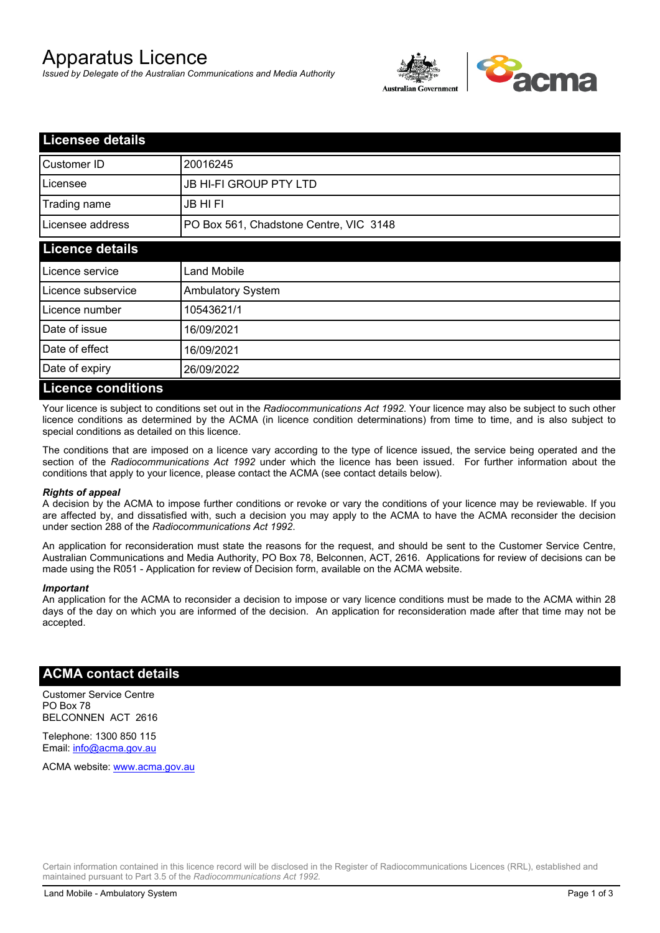# Apparatus Licence

*Issued by Delegate of the Australian Communications and Media Authority*



| <b>Licensee details</b>   |                                        |  |
|---------------------------|----------------------------------------|--|
| Customer ID               | 20016245                               |  |
| Licensee                  | <b>JB HI-FI GROUP PTY LTD</b>          |  |
| Trading name              | <b>JB HIFI</b>                         |  |
| Licensee address          | PO Box 561, Chadstone Centre, VIC 3148 |  |
| <b>Licence details</b>    |                                        |  |
| Licence service           | <b>Land Mobile</b>                     |  |
| Licence subservice        | <b>Ambulatory System</b>               |  |
| Licence number            | 10543621/1                             |  |
| Date of issue             | 16/09/2021                             |  |
| Date of effect            | 16/09/2021                             |  |
| Date of expiry            | 26/09/2022                             |  |
| <b>Licence conditions</b> |                                        |  |

Your licence is subject to conditions set out in the *Radiocommunications Act 1992*. Your licence may also be subject to such other licence conditions as determined by the ACMA (in licence condition determinations) from time to time, and is also subject to special conditions as detailed on this licence.

The conditions that are imposed on a licence vary according to the type of licence issued, the service being operated and the section of the *Radiocommunications Act 1992* under which the licence has been issued. For further information about the conditions that apply to your licence, please contact the ACMA (see contact details below).

#### *Rights of appeal*

A decision by the ACMA to impose further conditions or revoke or vary the conditions of your licence may be reviewable. If you are affected by, and dissatisfied with, such a decision you may apply to the ACMA to have the ACMA reconsider the decision under section 288 of the *Radiocommunications Act 1992*.

An application for reconsideration must state the reasons for the request, and should be sent to the Customer Service Centre, Australian Communications and Media Authority, PO Box 78, Belconnen, ACT, 2616. Applications for review of decisions can be made using the R051 - Application for review of Decision form, available on the ACMA website.

#### *Important*

An application for the ACMA to reconsider a decision to impose or vary licence conditions must be made to the ACMA within 28 days of the day on which you are informed of the decision. An application for reconsideration made after that time may not be accepted.

### **ACMA contact details**

Customer Service Centre PO Box 78 BELCONNEN ACT 2616

Telephone: 1300 850 115 Email: info@acma.gov.au

ACMA website: www.acma.gov.au

Certain information contained in this licence record will be disclosed in the Register of Radiocommunications Licences (RRL), established and maintained pursuant to Part 3.5 of the *Radiocommunications Act 1992.*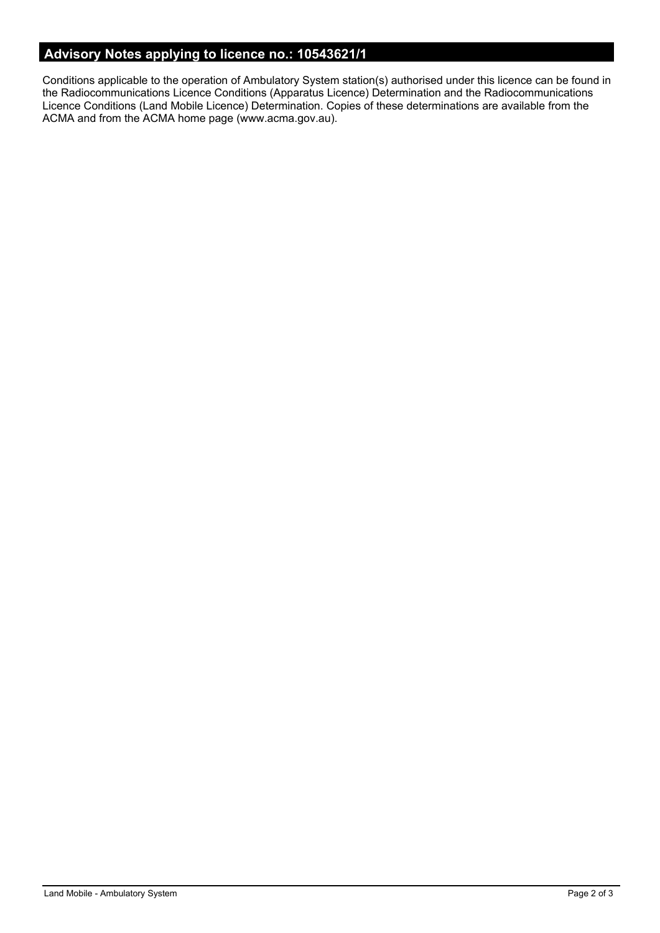# **Advisory Notes applying to licence no.: 10543621/1**

Conditions applicable to the operation of Ambulatory System station(s) authorised under this licence can be found in the Radiocommunications Licence Conditions (Apparatus Licence) Determination and the Radiocommunications Licence Conditions (Land Mobile Licence) Determination. Copies of these determinations are available from the ACMA and from the ACMA home page (www.acma.gov.au).